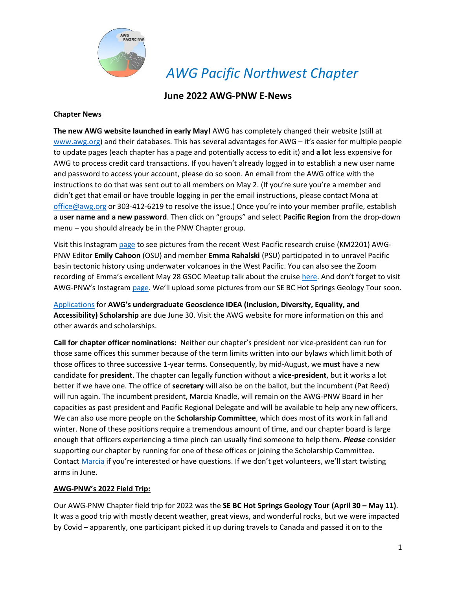

## **June 2022 AWG-PNW E-News**

#### **Chapter News**

**The new AWG website launched in early May!** AWG has completely changed their website (still at [www.awg.org\)](http://www.awg.org/) and their databases. This has several advantages for AWG – it's easier for multiple people to update pages (each chapter has a page and potentially access to edit it) and **a lot** less expensive for AWG to process credit card transactions. If you haven't already logged in to establish a new user name and password to access your account, please do so soon. An email from the AWG office with the instructions to do that was sent out to all members on May 2. (If you're sure you're a member and didn't get that email or have trouble logging in per the email instructions, please contact Mona at [office@awg.org](mailto:office@awg.org) or 303-412-6219 to resolve the issue.) Once you're into your member profile, establish a **user name and a new password**. Then click on "groups" and select **Pacific Region** from the drop-down menu – you should already be in the PNW Chapter group.

Visit this Instagram [page](https://www.instagram.com/west_pacific_seamount_province) to see pictures from the recent West Pacific research cruise (KM2201) AWG-PNW Editor **Emily Cahoon** (OSU) and member **Emma Rahalski** (PSU) participated in to unravel Pacific basin tectonic history using underwater volcanoes in the West Pacific. You can also see the Zoom recording of Emma's excellent May 28 GSOC Meetup talk about the cruise [here.](https://youtu.be/XV6LCHqtWg4) And don't forget to visit AWG-PNW's Instagram [page.](https://www.instagram.com/awg.pnw/) We'll upload some pictures from our SE BC Hot Springs Geology Tour soon.

[Applications](https://cdn.ymaws.com/www.awg.org/resource/resmgr/awards/student_awards/geoscience_idea_scholarship_.pdf) for **AWG's undergraduate Geoscience IDEA (Inclusion, Diversity, Equality, and Accessibility) Scholarship** are due June 30. Visit the AWG website for more information on this and other awards and scholarships.

**Call for chapter officer nominations:** Neither our chapter's president nor vice-president can run for those same offices this summer because of the term limits written into our bylaws which limit both of those offices to three successive 1-year terms. Consequently, by mid-August, we **must** have a new candidate for **president**. The chapter can legally function without a **vice-president**, but it works a lot better if we have one. The office of **secretary** will also be on the ballot, but the incumbent (Pat Reed) will run again. The incumbent president, Marcia Knadle, will remain on the AWG-PNW Board in her capacities as past president and Pacific Regional Delegate and will be available to help any new officers. We can also use more people on the **Scholarship Committee**, which does most of its work in fall and winter. None of these positions require a tremendous amount of time, and our chapter board is large enough that officers experiencing a time pinch can usually find someone to help them. *Please* consider supporting our chapter by running for one of these offices or joining the Scholarship Committee. Contact [Marcia](mailto:president@awgpnw.org) if you're interested or have questions. If we don't get volunteers, we'll start twisting arms in June.

## **AWG-PNW's 2022 Field Trip:**

Our AWG-PNW Chapter field trip for 2022 was the **SE BC Hot Springs Geology Tour (April 30 – May 11)**. It was a good trip with mostly decent weather, great views, and wonderful rocks, but we were impacted by Covid – apparently, one participant picked it up during travels to Canada and passed it on to the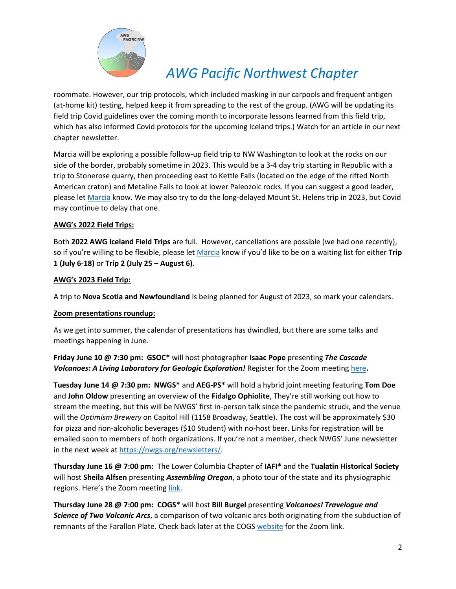

roommate. However, our trip protocols, which included masking in our carpools and frequent antigen (at-home kit) testing, helped keep it from spreading to the rest of the group. (AWG will be updating its field trip Covid guidelines over the coming month to incorporate lessons learned from this field trip, which has also informed Covid protocols for the upcoming Iceland trips.) Watch for an article in our next chapter newsletter.

Marcia will be exploring a possible follow-up field trip to NW Washington to look at the rocks on our side of the border, probably sometime in 2023. This would be a 3-4 day trip starting in Republic with a trip to Stonerose quarry, then proceeding east to Kettle Falls (located on the edge of the rifted North American craton) and Metaline Falls to look at lower Paleozoic rocks. If you can suggest a good leader, please le[t Marcia](mailto:president@awgpnw.org) know. We may also try to do the long-delayed Mount St. Helens trip in 2023, but Covid may continue to delay that one.

## **AWG's 2022 Field Trips:**

Both **2022 AWG Iceland Field Trips** are full. However, cancellations are possible (we had one recently), so if you're willing to be flexible, please let [Marcia](mailto:president@awgpnw.org) know if you'd like to be on a waiting list for either **Trip 1 (July 6-18)** or **Trip 2 (July 25 – August 6)**.

## **AWG's 2023 Field Trip:**

A trip to **Nova Scotia and Newfoundland** is being planned for August of 2023, so mark your calendars.

## **Zoom presentations roundup:**

As we get into summer, the calendar of presentations has dwindled, but there are some talks and meetings happening in June.

## **Friday June 10 @ 7:30 pm: GSOC\*** will host photographer **Isaac Pope** presenting *The Cascade Volcanoes: A Living Laboratory for Geologic Exploration!* Register for the Zoom meeting [here](https://us02web.zoom.us/meeting/register/tZctf-yhrz4tGdfyw4KgKiGqSYJEdEaTE3K1)**.**

**Tuesday June 14 @ 7:30 pm: NWGS\*** and **AEG-PS\*** will hold a hybrid joint meeting featuring **Tom Doe** and **John Oldow** presenting an overview of the **Fidalgo Ophiolite**, They're still working out how to stream the meeting, but this will be NWGS' first in-person talk since the pandemic struck, and the venue will the *Optimism Brewery* on Capitol Hill (1158 Broadway, Seattle). The cost will be approximately \$30 for pizza and non-alcoholic beverages (\$10 Student) with no-host beer. Links for registration will be emailed soon to members of both organizations. If you're not a member, check NWGS' June newsletter in the next week at [https://nwgs.org/newsletters/.](https://nwgs.org/newsletters/)

**Thursday June 16 @ 7:00 pm:** The Lower Columbia Chapter of **IAFI\*** and the **Tualatin Historical Society** will host **Sheila Alfsen** presenting *Assembling Oregon*, a photo tour of the state and its physiographic regions. Here's the Zoom meeting [link.](https://us02web.zoom.us/j/89236343741?pwd=YjJFVGl0MExyUHJlMEZ0ejRpdG1TQT09)

**Thursday June 28 @ 7:00 pm: COGS\*** will host **Bill Burgel** presenting *Volcanoes! Travelogue and Science of Two Volcanic Arcs*, a comparison of two volcanic arcs both originating from the subduction of remnants of the Farallon Plate. Check back later at the COGS [website](http://www.cogeosoc.org/) for the Zoom link.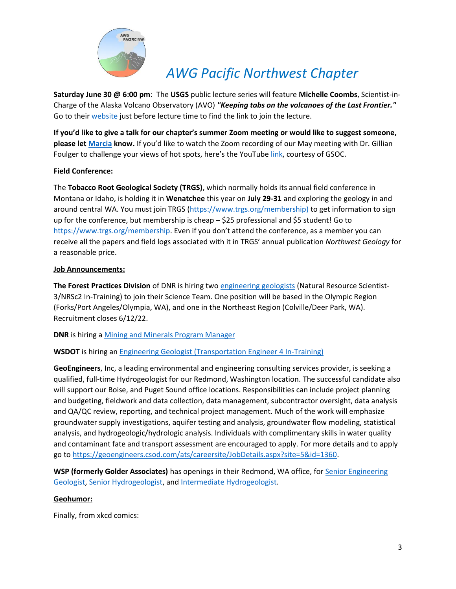

**Saturday June 30 @ 6:00 pm**: The **USGS** public lecture series will feature **Michelle Coombs**, Scientist-in-Charge of the Alaska Volcano Observatory (AVO) *"Keeping tabs on the volcanoes of the Last Frontier."* Go to their [website](https://www.usgs.gov/public-lecture-series) just before lecture time to find the link to join the lecture.

**If you'd like to give a talk for our chapter's summer Zoom meeting or would like to suggest someone, please le[t Marcia](mailto:president@awgpnw.org) know.** If you'd like to watch the Zoom recording of our May meeting with Dr. Gillian Foulger to challenge your views of hot spots, here's the YouTube [link,](https://www.youtube.com/watch?v=z46ddd0wuio&t=108s) courtesy of GSOC.

## **Field Conference:**

The **Tobacco Root Geological Society (TRGS)**, which normally holds its annual field conference in Montana or Idaho, is holding it in **Wenatchee** this year on **July 29-31** and exploring the geology in and around central WA. You must join TRGS [\(https://www.trgs.org/membership\)](https://www.trgs.org/membership) to get information to sign up for the conference, but membership is cheap – \$25 professional and \$5 student! Go to <https://www.trgs.org/membership>. Even if you don't attend the conference, as a member you can receive all the papers and field logs associated with it in TRGS' annual publication *Northwest Geology* for a reasonable price.

## **Job Announcements:**

**The Forest Practices Division** of DNR is hiring two [engineering geologists](https://aegnisqually.us16.list-manage.com/track/click?u=c7dc680f16f7a5838198e1184&id=f7d8c89ac5&e=a90ed8da00) (Natural Resource Scientist-3/NRSc2 In-Training) to join their Science Team. One position will be based in the Olympic Region (Forks/Port Angeles/Olympia, WA), and one in the Northeast Region (Colville/Deer Park, WA). Recruitment closes 6/12/22.

**DNR** is hiring a [Mining and Minerals Program Manager](https://aegnisqually.us16.list-manage.com/track/click?u=c7dc680f16f7a5838198e1184&id=d4fd06eda1&e=a90ed8da00)

## **WSDOT** is hiring an [Engineering Geologist \(Transportation Engineer 4 In-Training\)](https://aegnisqually.us16.list-manage.com/track/click?u=c7dc680f16f7a5838198e1184&id=ffc32eb5b8&e=a90ed8da00)

**GeoEngineers**, Inc, a leading environmental and engineering consulting services provider, is seeking a qualified, full-time Hydrogeologist for our Redmond, Washington location. The successful candidate also will support our Boise, and Puget Sound office locations. Responsibilities can include project planning and budgeting, fieldwork and data collection, data management, subcontractor oversight, data analysis and QA/QC review, reporting, and technical project management. Much of the work will emphasize groundwater supply investigations, aquifer testing and analysis, groundwater flow modeling, statistical analysis, and hydrogeologic/hydrologic analysis. Individuals with complimentary skills in water quality and contaminant fate and transport assessment are encouraged to apply. For more details and to apply go to [https://geoengineers.csod.com/ats/careersite/JobDetails.aspx?site=5&id=1360.](https://aegnisqually.us16.list-manage.com/track/click?u=c7dc680f16f7a5838198e1184&id=466fc4fdd2&e=a90ed8da00)

**WSP (formerly Golder Associates)** has openings in their Redmond, WA office, for [Senior Engineering](https://myjob.io/nwto7uye7l)  [Geologist,](https://myjob.io/nwto7uye7l) [Senior Hydrogeologist,](https://myjob.io/58xxv2aemqg) and [Intermediate Hydrogeologist.](https://myjob.io/5sd7rw3fuvv)

## **Geohumor:**

Finally, from xkcd comics: